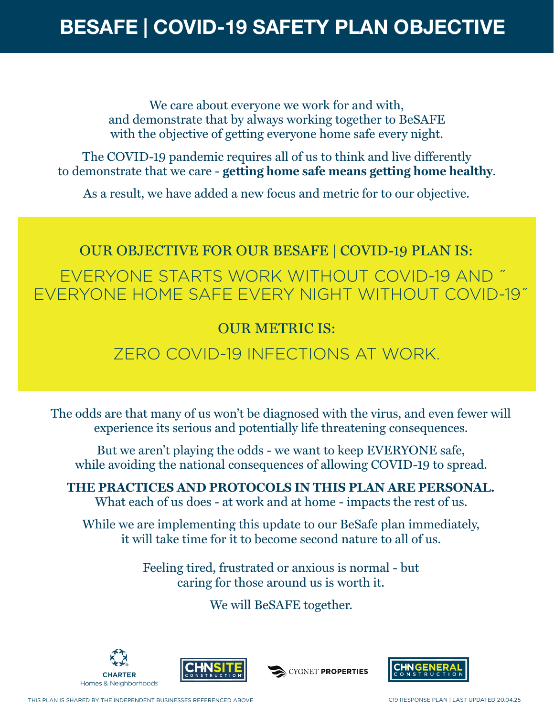We care about everyone we work for and with, and demonstrate that by always working together to BeSAFE with the objective of getting everyone home safe every night.

The COVID-19 pandemic requires all of us to think and live differently to demonstrate that we care - **getting home safe means getting home healthy**.

As a result, we have added a new focus and metric for to our objective.

# OUR OBJECTIVE FOR OUR BESAFE | COVID-19 PLAN IS:

EVERYONE STARTS WORK WITHOUT COVID-19 AND ˝ EVERYONE HOME SAFE EVERY NIGHT WITHOUT COVID-19˝

#### OUR METRIC IS:

#### ZERO COVID-19 INFECTIONS AT WORK.

The odds are that many of us won't be diagnosed with the virus, and even fewer will experience its serious and potentially life threatening consequences.

But we aren't playing the odds - we want to keep EVERYONE safe, while avoiding the national consequences of allowing COVID-19 to spread.

**THE PRACTICES AND PROTOCOLS IN THIS PLAN ARE PERSONAL.**  What each of us does - at work and at home - impacts the rest of us.

While we are implementing this update to our BeSafe plan immediately, it will take time for it to become second nature to all of us.

> Feeling tired, frustrated or anxious is normal - but caring for those around us is worth it.

> > We will BeSAFE together.





CYGNET PROPERTIES

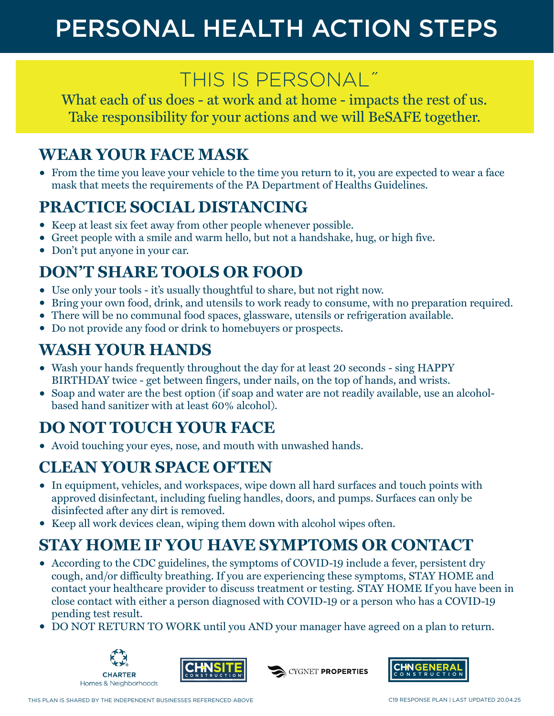# PERSONAL HEALTH ACTION STEPS

## THIS IS PERSONAL˝

What each of us does - at work and at home - impacts the rest of us. Take responsibility for your actions and we will BeSAFE together.

#### **WEAR YOUR FACE MASK**

• From the time you leave your vehicle to the time you return to it, you are expected to wear a face mask that meets the requirements of the PA Department of Healths Guidelines.

### **PRACTICE SOCIAL DISTANCING**

- Keep at least six feet away from other people whenever possible.
- Greet people with a smile and warm hello, but not a handshake, hug, or high five.
- Don't put anyone in your car.

### **DON'T SHARE TOOLS OR FOOD**

- Use only your tools it's usually thoughtful to share, but not right now.
- Bring your own food, drink, and utensils to work ready to consume, with no preparation required.
- There will be no communal food spaces, glassware, utensils or refrigeration available.
- Do not provide any food or drink to homebuyers or prospects.

### **WASH YOUR HANDS**

- Wash your hands frequently throughout the day for at least 20 seconds sing HAPPY BIRTHDAY twice - get between fingers, under nails, on the top of hands, and wrists.
- Soap and water are the best option (if soap and water are not readily available, use an alcoholbased hand sanitizer with at least 60% alcohol).

## **DO NOT TOUCH YOUR FACE**

• Avoid touching your eyes, nose, and mouth with unwashed hands.

## **CLEAN YOUR SPACE OFTEN**

- In equipment, vehicles, and workspaces, wipe down all hard surfaces and touch points with approved disinfectant, including fueling handles, doors, and pumps. Surfaces can only be disinfected after any dirt is removed.
- Keep all work devices clean, wiping them down with alcohol wipes often.

## **STAY HOME IF YOU HAVE SYMPTOMS OR CONTACT**

- According to the CDC guidelines, the symptoms of COVID-19 include a fever, persistent dry cough, and/or difficulty breathing. If you are experiencing these symptoms, STAY HOME and contact your healthcare provider to discuss treatment or testing. STAY HOME If you have been in close contact with either a person diagnosed with COVID-19 or a person who has a COVID-19 pending test result.
- DO NOT RETURN TO WORK until you AND your manager have agreed on a plan to return.







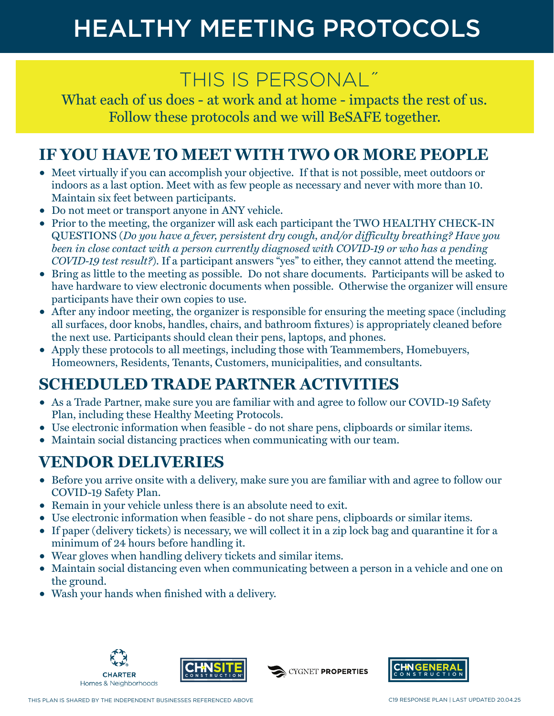# HEALTHY MEETING PROTOCOLS

## THIS IS PERSONAL˝

What each of us does - at work and at home - impacts the rest of us. Follow these protocols and we will BeSAFE together.

#### **IF YOU HAVE TO MEET WITH TWO OR MORE PEOPLE**

- Meet virtually if you can accomplish your objective. If that is not possible, meet outdoors or indoors as a last option. Meet with as few people as necessary and never with more than 10. Maintain six feet between participants.
- Do not meet or transport anyone in ANY vehicle.
- Prior to the meeting, the organizer will ask each participant the TWO HEALTHY CHECK-IN QUESTIONS (*Do you have a fever, persistent dry cough, and/or difficulty breathing? Have you*  been in close contact with a person currently diagnosed with COVID-19 or who has a pending *COVID-19 test result?*). If a participant answers "yes" to either, they cannot attend the meeting.
- Bring as little to the meeting as possible. Do not share documents. Participants will be asked to have hardware to view electronic documents when possible. Otherwise the organizer will ensure participants have their own copies to use.
- After any indoor meeting, the organizer is responsible for ensuring the meeting space (including all surfaces, door knobs, handles, chairs, and bathroom fixtures) is appropriately cleaned before the next use. Participants should clean their pens, laptops, and phones.
- Apply these protocols to all meetings, including those with Teammembers, Homebuyers, Homeowners, Residents, Tenants, Customers, municipalities, and consultants.

### **SCHEDULED TRADE PARTNER ACTIVITIES**

- As a Trade Partner, make sure you are familiar with and agree to follow our COVID-19 Safety Plan, including these Healthy Meeting Protocols.
- Use electronic information when feasible do not share pens, clipboards or similar items.
- Maintain social distancing practices when communicating with our team.

#### **VENDOR DELIVERIES**

- Before you arrive onsite with a delivery, make sure you are familiar with and agree to follow our COVID-19 Safety Plan.
- Remain in your vehicle unless there is an absolute need to exit.
- Use electronic information when feasible do not share pens, clipboards or similar items.
- If paper (delivery tickets) is necessary, we will collect it in a zip lock bag and quarantine it for a minimum of 24 hours before handling it.
- Wear gloves when handling delivery tickets and similar items.
- Maintain social distancing even when communicating between a person in a vehicle and one on the ground.
- Wash your hands when finished with a delivery.





CYGNET PROPERTIES